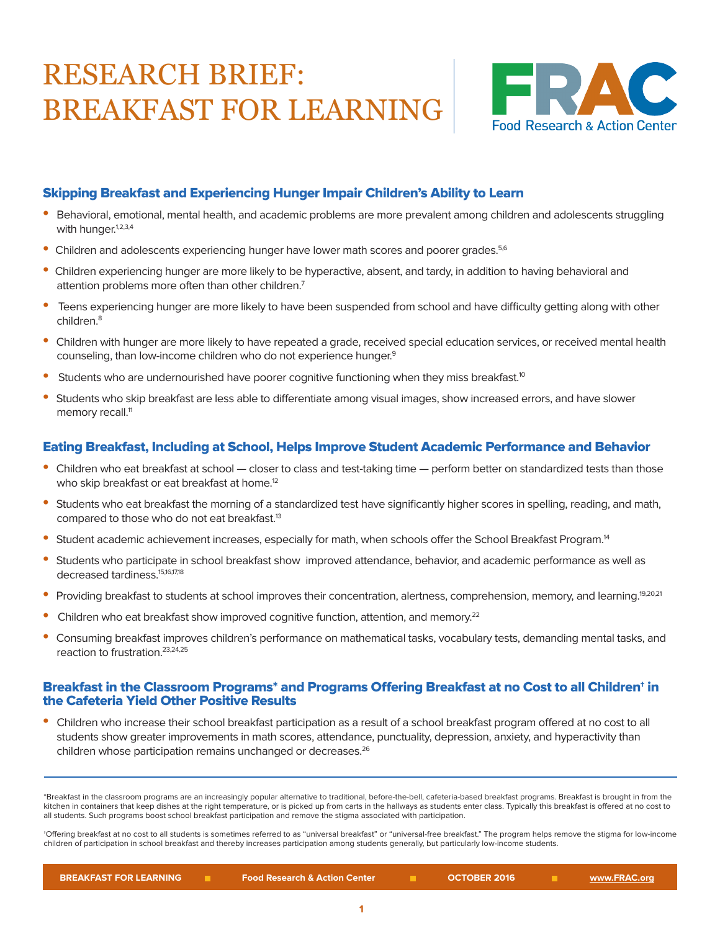# RESEARCH BRIEF: BREAKFAST FOR LEARNING



## Skipping Breakfast and Experiencing Hunger Impair Children's Ability to Learn

- Behavioral, emotional, mental health, and academic problems are more prevalent among children and adolescents struggling with hunger.<sup>1,2,3,4</sup>
- Children and adolescents experiencing hunger have lower math scores and poorer grades.<sup>5,6</sup>
- Children experiencing hunger are more likely to be hyperactive, absent, and tardy, in addition to having behavioral and attention problems more often than other children.<sup>7</sup>
- Teens experiencing hunger are more likely to have been suspended from school and have difficulty getting along with other children<sup>8</sup>
- Children with hunger are more likely to have repeated a grade, received special education services, or received mental health counseling, than low-income children who do not experience hunger.<sup>9</sup>
- Students who are undernourished have poorer cognitive functioning when they miss breakfast.<sup>10</sup>
- Students who skip breakfast are less able to differentiate among visual images, show increased errors, and have slower memory recall.<sup>11</sup>

### Eating Breakfast, Including at School, Helps Improve Student Academic Performance and Behavior

- Children who eat breakfast at school closer to class and test-taking time perform better on standardized tests than those who skip breakfast or eat breakfast at home.<sup>12</sup>
- Students who eat breakfast the morning of a standardized test have significantly higher scores in spelling, reading, and math, compared to those who do not eat breakfast.<sup>13</sup>
- Student academic achievement increases, especially for math, when schools offer the School Breakfast Program.<sup>14</sup>
- Students who participate in school breakfast show improved attendance, behavior, and academic performance as well as decreased tardiness.15,16,17,18
- Providing breakfast to students at school improves their concentration, alertness, comprehension, memory, and learning.<sup>19,20,21</sup>
- Children who eat breakfast show improved cognitive function, attention, and memory.<sup>22</sup>
- Consuming breakfast improves children's performance on mathematical tasks, vocabulary tests, demanding mental tasks, and reaction to frustration.23,24,25

#### Breakfast in the Classroom Programs\* and Programs Offering Breakfast at no Cost to all Children† in the Cafeteria Yield Other Positive Results

• Children who increase their school breakfast participation as a result of a school breakfast program offered at no cost to all students show greater improvements in math scores, attendance, punctuality, depression, anxiety, and hyperactivity than children whose participation remains unchanged or decreases.<sup>26</sup>

\*Breakfast in the classroom programs are an increasingly popular alternative to traditional, before-the-bell, cafeteria-based breakfast programs. Breakfast is brought in from the kitchen in containers that keep dishes at the right temperature, or is picked up from carts in the hallways as students enter class. Typically this breakfast is offered at no cost to all students. Such programs boost school breakfast participation and remove the stigma associated with participation.

†Offering breakfast at no cost to all students is sometimes referred to as "universal breakfast" or "universal-free breakfast." The program helps remove the stigma for low-income children of participation in school breakfast and thereby increases participation among students generally, but particularly low-income students.

| <b>BREAKFAST FOR LEARNING</b> | <b>Food Research &amp; Action Center</b> | <b>OCTOBER 2016</b> | <u>www.FRAC.org</u> |
|-------------------------------|------------------------------------------|---------------------|---------------------|
|                               |                                          |                     |                     |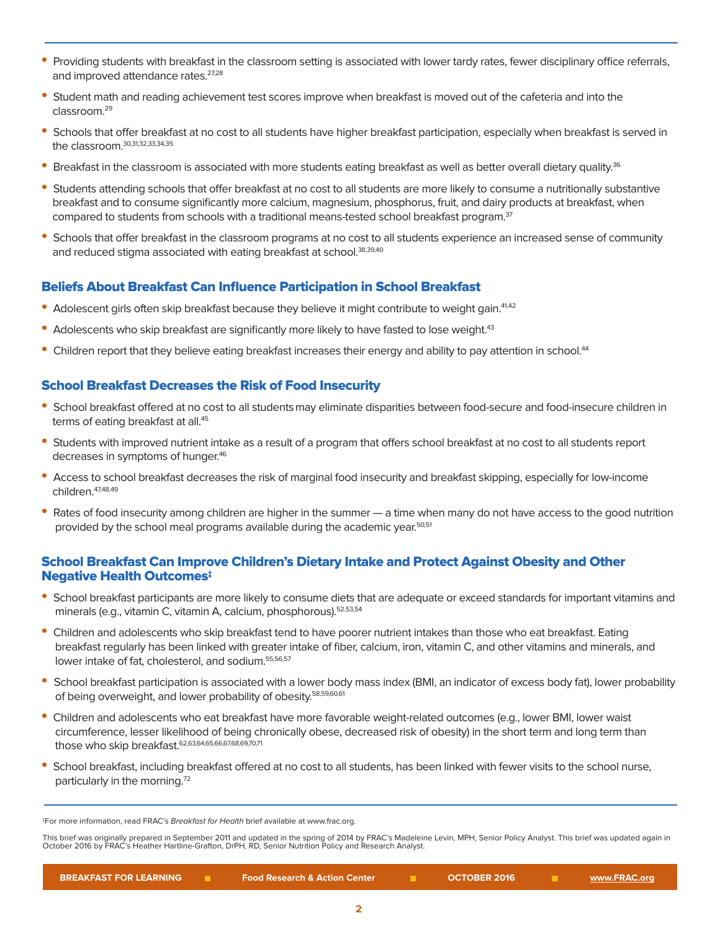- Providing students with breakfast in the classroom setting is associated with lower tardy rates, fewer disciplinary office referrals, and improved attendance rates.<sup>27,28</sup>
- Student math and reading achievement test scores improve when breakfast is moved out of the cafeteria and into the classroom.29
- Schools that offer breakfast at no cost to all students have higher breakfast participation, especially when breakfast is served in the classroom.<sup>30,31,32,33,34,35</sup>
- Breakfast in the classroom is associated with more students eating breakfast as well as better overall dietary quality.<sup>36</sup>
- Students attending schools that offer breakfast at no cost to all students are more likely to consume a nutritionally substantive breakfast and to consume significantly more calcium, magnesium, phosphorus, fruit, and dairy products at breakfast, when compared to students from schools with a traditional means-tested school breakfast program.<sup>37</sup>
- Schools that offer breakfast in the classroom programs at no cost to all students experience an increased sense of community and reduced stigma associated with eating breakfast at school.<sup>38,39,40</sup>

#### Beliefs About Breakfast Can Influence Participation in School Breakfast

- Adolescent girls often skip breakfast because they believe it might contribute to weight gain.<sup>41,42</sup>
- Adolescents who skip breakfast are significantly more likely to have fasted to lose weight.<sup>43</sup>
- Children report that they believe eating breakfast increases their energy and ability to pay attention in school.<sup>44</sup>

#### School Breakfast Decreases the Risk of Food Insecurity

- School breakfast offered at no cost to all studentsmay eliminate disparities between food-secure and food-insecure children in terms of eating breakfast at all.<sup>45</sup>
- Students with improved nutrient intake as a result of a program that offers school breakfast at no cost to all students report decreases in symptoms of hunger.<sup>46</sup>
- Access to school breakfast decreases the risk of marginal food insecurity and breakfast skipping, especially for low-income children.47,48,49
- Rates of food insecurity among children are higher in the summer a time when many do not have access to the good nutrition provided by the school meal programs available during the academic year.<sup>50,51</sup>

#### School Breakfast Can Improve Children's Dietary Intake and Protect Against Obesity and Other Negative Health Outcomes‡

- School breakfast participants are more likely to consume diets that are adequate or exceed standards for important vitamins and minerals (e.g., vitamin C, vitamin A, calcium, phosphorous).<sup>52,53,54</sup>
- Children and adolescents who skip breakfast tend to have poorer nutrient intakes than those who eat breakfast. Eating breakfast regularly has been linked with greater intake of fiber, calcium, iron, vitamin C, and other vitamins and minerals, and lower intake of fat, cholesterol, and sodium.<sup>55,56,57</sup>
- School breakfast participation is associated with a lower body mass index (BMI, an indicator of excess body fat), lower probability of being overweight, and lower probability of obesity.<sup>58,59,60,61</sup>
- Children and adolescents who eat breakfast have more favorable weight-related outcomes (e.g., lower BMI, lower waist circumference, lesser likelihood of being chronically obese, decreased risk of obesity) in the short term and long term than those who skip breakfast.<sup>62,63,64,65,66,67,68,69,70,71</sup>
- School breakfast, including breakfast offered at no cost to all students, has been linked with fewer visits to the school nurse, particularly in the morning.72

This brief was originally prepared in September 2011 and updated in the spring of 2014 by FRAC's Madeleine Levin, MPH, Senior Policy Analyst. This brief was updated again in<br>October 2016 by FRAC's Heather Hartline-Grafton,

<sup>‡</sup>For more information, read FRAC's Breakfast for Health brief available at www.frac.org.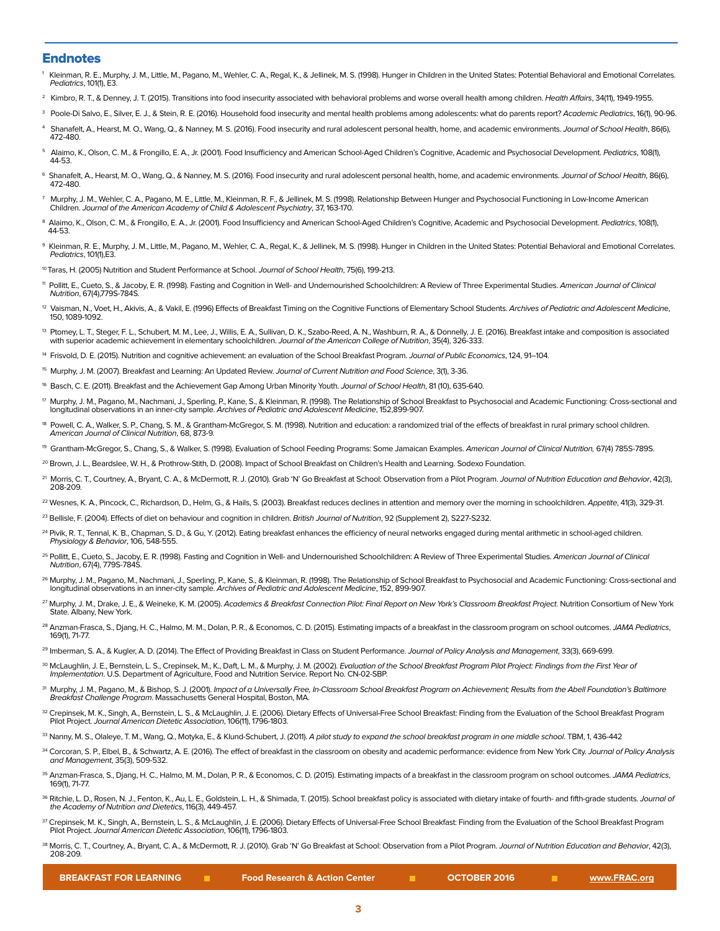#### Endnotes

- Kleinman, R. E., Murphy, J. M., Little, M., Pagano, M., Wehler, C. A., Regal, K., & Jellinek, M. S. (1998). Hunger in Children in the United States: Potential Behavioral and Emotional Correlates. Pediatrics, 101(1), E3.
- <sup>2</sup> Kimbro, R. T., & Denney, J. T. (2015). Transitions into food insecurity associated with behavioral problems and worse overall health among children. *Health Affairs*, 34(11), 1949-1955.
- <sup>3</sup> Poole-Di Salvo, E., Silver, E. J., & Stein, R. E. (2016). Household food insecurity and mental health problems among adolescents: what do parents report? Academic Pediatrics, 16(1), 90-96.
- 4 Shanafelt, A., Hearst, M. O., Wang, Q., & Nanney, M. S. (2016). Food insecurity and rural adolescent personal health, home, and academic environments. Journal of School Health, 86(6), 472-480.
- 5 Alaimo, K., Olson, C. M., & Frongillo, E. A., Jr. (2001). Food Insufficiency and American School-Aged Children's Cognitive, Academic and Psychosocial Development. Pediatrics, 108(1), 44-53.
- 6 Shanafelt, A., Hearst, M. O., Wang, Q., & Nanney, M. S. (2016). Food insecurity and rural adolescent personal health, home, and academic environments. Journal of School Health, 86(6), 472-480.
- 7 Murphy, J. M., Wehler, C. A., Pagano, M. E., Little, M., Kleinman, R. F., & Jellinek, M. S. (1998). Relationship Between Hunger and Psychosocial Functioning in Low-Income American Children. Journal of the American Academy of Child & Adolescent Psychiatry, 37, 163-170.
- <sup>8</sup> Alaimo, K., Olson, C. M., & Frongillo, E. A., Jr. (2001). Food Insufficiency and American School-Aged Children's Cognitive, Academic and Psychosocial Development. *Pediatrics*, 108(1), 44-53.
- <sup>9</sup> Kleinman, R. E., Murphy, J. M., Little, M., Pagano, M., Wehler, C. A., Regal, K., & Jellinek, M. S. (1998). Hunger in Children in the United States: Potential Behavioral and Emotional Correlates.<br>*Pediatrics,* 101(1),E
- 10 Taras, H. (2005) Nutrition and Student Performance at School. Journal of School Health, 75(6), 199-213.
- <sup>11</sup> Pollitt, E., Cueto, S., & Jacoby, E. R. (1998). Fasting and Cognition in Well- and Undernourished Schoolchildren: A Review of Three Experimental Studies. American Journal of Clinical Nutrition, 67(4),779S-784S.
- <sup>12</sup> Vaisman, N., Voet, H., Akivis, A., & Vakil, E. (1996) Effects of Breakfast Timing on the Cognitive Functions of Elementary School Students. Archives of Pediatric and Adolescent Medicine, 150, 1089-1092.
- <sup>13</sup> Ptomey, L. T., Steger, F. L., Schubert, M. M., Lee, J., Willis, E. A., Sullivan, D. K., Szabo-Reed, A. N., Washburn, R. A., & Donnelly, J. E. (2016). Breakfast intake and composition is associated with superior academic achievement in elementary schoolchildren. Journal of the American College of Nutrition, 35(4), 326-333.
- <sup>14</sup> Frisvold, D. E. (2015). Nutrition and cognitive achievement: an evaluation of the School Breakfast Program. Journal of Public Economics, 124, 91-104.
- <sup>15</sup> Murphy, J. M. (2007). Breakfast and Learning: An Updated Review. Journal of Current Nutrition and Food Science, 3(1), 3-36.
- <sup>16</sup> Basch, C. E. (2011). Breakfast and the Achievement Gap Among Urban Minority Youth. *Journal of School Health*, 81 (10), 635-640.
- ™ Murphy, J. M., Pagano, M., Nachmani, J., Sperling, P., Kane, S., & Kleinman, R. (1998). The Relationship of School Breakfast to Psychosocial and Academic Functioning: Cross-sectional and<br>Iongitudinal observations in an
- <sup>18</sup> Powell, C. A., Walker, S. P., Chang, S. M., & Grantham-McGregor, S. M. (1998). Nutrition and education: a randomized trial of the effects of breakfast in rural primary school children. American Journal of Clinical Nutrition, 68, 873-9.
- <sup>19</sup> Grantham-McGregor, S., Chang, S., & Walker, S. (1998). Evaluation of School Feeding Programs: Some Jamaican Examples. American Journal of Clinical Nutrition, 67(4) 785S-789S.
- <sup>20</sup> Brown, J. L., Beardslee, W. H., & Prothrow-Stith, D. (2008). Impact of School Breakfast on Children's Health and Learning. Sodexo Foundation
- <sup>21</sup> Morris, C. T., Courtney, A., Bryant, C. A., & McDermott, R. J. (2010). Grab 'N' Go Breakfast at School: Observation from a Pilot Program. Journal of Nutrition Education and Behavior, 42(3), 208-209.
- <sup>22</sup> Wesnes, K. A., Pincock, C., Richardson, D., Helm, G., & Hails, S. (2003). Breakfast reduces declines in attention and memory over the morning in schoolchildren. Appetite, 41(3), 329-31.
- <sup>23</sup> Bellisle, F. (2004). Effects of diet on behaviour and cognition in children. British Journal of Nutrition, 92 (Supplement 2), S227-S232.
- <sup>24</sup> Pivik, R. T., Tennal, K. B., Chapman, S. D., & Gu, Y. (2012). Eating breakfast enhances the efficiency of neural networks engaged during mental arithmetic in school-aged children. Physiology & Behavior, 106, 548-555.
- <sup>25</sup> Pollitt, E., Cueto, S., Jacoby, E. R. (1998). Fasting and Cognition in Well- and Undernourished Schoolchildren: A Review of Three Experimental Studies. *American Journal of Clinical*<br>Mutrition, 67(4), 779S-784S.
- 26 Murphy, J. M., Pagano, M., Nachmani, J., Sperling, P., Kane, S., & Kleinman, R. (1998). The Relationship of School Breakfast to Psychosocial and Academic Functioning: Cross-sectional and longitudinal observations in an inner-city sample. Archives of Pediatric and Adolescent Medicine, 152, 899-907.
- <sup>27</sup> Murphy, J. M., Drake, J. E., & Weineke, K. M. (2005). Academics & Breakfast Connection Pilot: Final Report on New York's Classroom Breakfast Project. Nutrition Consortium of New York State. Albany, New York.
- <sup>28</sup> Anzman-Frasca, S., Djang, H. C., Halmo, M. M., Dolan, P. R., & Economos, C. D. (2015). Estimating impacts of a breakfast in the classroom program on school outcomes. *JAMA Pediatrics*,<br>169(1), 71-77.
- <sup>29</sup> Imberman, S. A., & Kugler, A. D. (2014). The Effect of Providing Breakfast in Class on Student Performance. Journal of Policy Analysis and Management, 33(3), 669-699.
- 3º McLaughlin, J. E., Bernstein, L. S., Crepinsek, M., K., Daft, L. M., & Murphy, J. M. (2002). *Evaluation of the School Breakfast Program Pilot Project: Findings from the First Year of*<br>I*mplementation.* U.S. Department
- 31 Murphy, J. M., Pagano, M., & Bishop, S. J. (2001). Impact of a Universally Free, In-Classroom School Breakfast Program on Achievement; Results from the Abell Foundation's Baltimore Breakfast Challenge Program. Massachusetts General Hospital, Boston, MA.
- 32 Crepinsek, M. K., Singh, A., Bernstein, L. S., & McLaughlin, J. E. (2006). Dietary Effects of Universal-Free School Breakfast: Finding from the Evaluation of the School Breakfast Program Pilot Project. Journal American Dietetic Association, 106(11), 1796-1803.
- 33 Nanny, M. S., Olaleye, T. M., Wang, Q., Motyka, E., & Klund-Schubert, J. (2011). A pilot study to expand the school breakfast program in one middle school. TBM, 1, 436-442
- 34 Corcoran, S. P., Elbel, B., & Schwartz, A. E. (2016). The effect of breakfast in the classroom on obesity and academic performance: evidence from New York City. Journal of Policy Analysis and Management, 35(3), 509-532.
- <sup>35</sup> Anzman-Frasca, S., Djang, H. C., Halmo, M. M., Dolan, P. R., & Economos, C. D. (2015). Estimating impacts of a breakfast in the classroom program on school outcomes. JAMA Pediatrics, 169(1), 71-77.
- <sup>36</sup> Ritchie, L. D., Rosen, N. J., Fenton, K., Au, L. E., Goldstein, L. H., & Shimada, T. (2015). School breakfast policy is associated with dietary intake of fourth- and fifth-grade students. Journal of the Academy of Nutrition and Dietetics, 116(3), 449-457.
- 37 Crepinsek, M. K., Singh, A., Bernstein, L. S., & McLaughlin, J. E. (2006). Dietary Effects of Universal-Free School Breakfast: Finding from the Evaluation of the School Breakfast Program Pilot Project. Journal American Dietetic Association, 106(11), 1796-1803.
- 38 Morris, C. T., Courtney, A., Bryant, C. A., & McDermott, R. J. (2010). Grab 'N' Go Breakfast at School: Observation from a Pilot Program. Journal of Nutrition Education and Behavior, 42(3), 208-209.